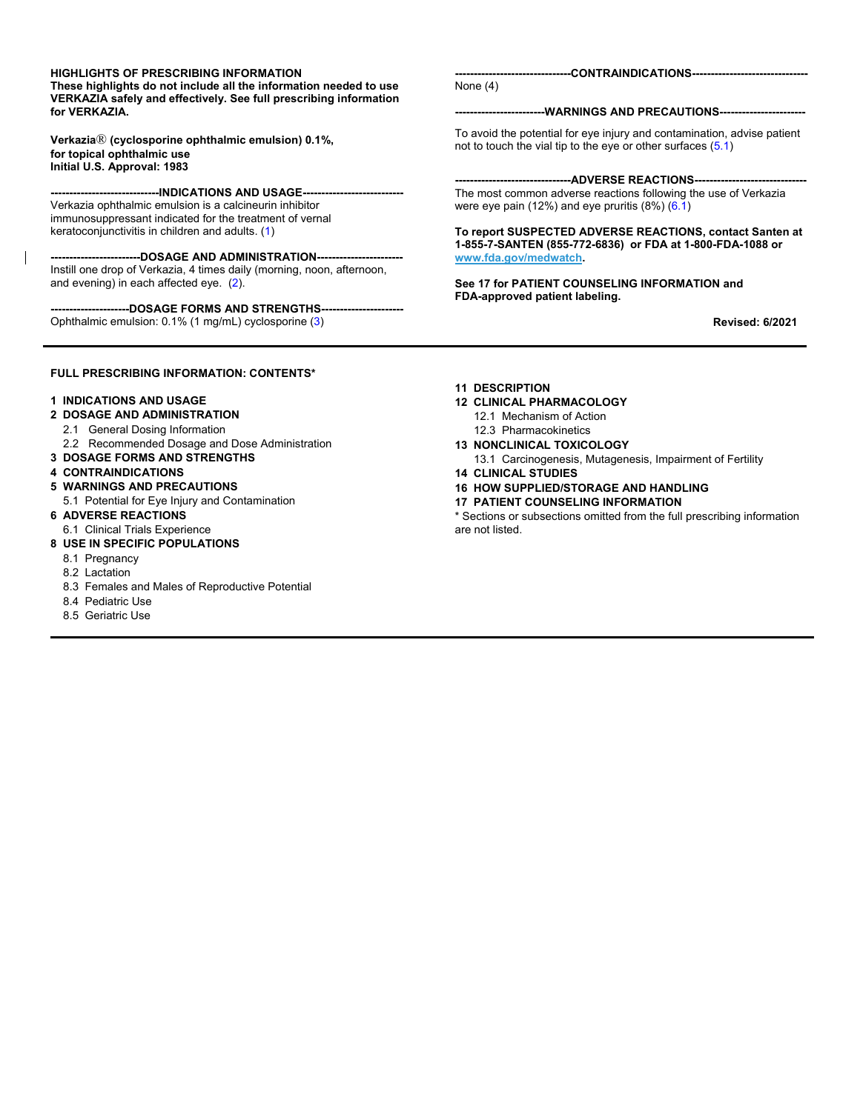#### **HIGHLIGHTS OF PRESCRIBING INFORMATION**

**These highlights do not include all the information needed to use VERKAZIA safely and effectively. See full prescribing information for VERKAZIA.**

**Verkazia**® **(cyclosporine ophthalmic emulsion) 0.1%, for topical ophthalmic use Initial U.S. Approval: 1983**

----INDICATIONS AND USAGE--Verkazia ophthalmic emulsion is a calcineurin inhibitor immunosuppressant indicated for the treatment of vernal keratoconjunctivitis in children and adults. [\(1\)](#page-1-0)

**------------------------DOSAGE AND ADMINISTRATION-----------------------** Instill one drop of Verkazia, 4 times daily (morning, noon, afternoon, and evening) in each affected eye. [\(2\)](#page-1-1).

--DOSAGE FORMS AND STRENGTHS---Ophthalmic emulsion: 0.1% (1 mg/mL) cyclosporine [\(3\)](#page-1-2)

**-------------------------------CONTRAINDICATIONS-------------------------------** None [\(4\)](#page-1-3)

**------------------------WARNINGS AND PRECAUTIONS-----------------------**

To avoid the potential for eye injury and contamination, advise patient not to touch the vial tip to the eye or other surfaces [\(5.](#page-1-4)1)

---ADVERSE REACTIONS----The most common adverse reactions following the use of Verkazia were eye pain (12%) and eye pruritis (8%) [\(6.1](#page-1-5))

**To report SUSPECTED ADVERSE REACTIONS, contact Santen at 1-855-7-SANTEN (855-772-6836) or FDA at 1-800-FDA-1088 or www.fda.gov/medwatch.**

**See 17 for PATIENT COUNSELING INFORMATION and FDA-approved patient labeling.**

 **Revised: 6/2021**

#### **FULL PRESCRIBING INFORMATION: CONTENTS\***

#### **1 INDICATIONS AND USAGE**

- **2 DOSAGE AND ADMINISTRATION**
- 2.1 General Dosing Information
- 2.2 Recommended Dosage and Dose Administration
- **3 DOSAGE FORMS AND STRENGTHS**
- **4 CONTRAINDICATIONS**

#### **5 WARNINGS AND PRECAUTIONS**

- 5.1 Potential for Eye Injury and Contamination
- **6 ADVERSE REACTIONS**
- 6.1 Clinical Trials Experience

#### **8 USE IN SPECIFIC POPULATIONS**

- 8.1 Pregnancy
- 8.2 Lactation
- 8.3 Females and Males of Reproductive Potential
- 8.4 Pediatric Use
- 8.5 Geriatric Use

#### **11 DESCRIPTION**

- **12 CLINICAL PHARMACOLOGY**
	- 12.1 Mechanism of Action
	- 12.3 Pharmacokinetics
- **13 NONCLINICAL TOXICOLOGY**
- 13.1 Carcinogenesis, Mutagenesis, Impairment of Fertility
- **14 CLINICAL STUDIES**
- **16 HOW SUPPLIED/STORAGE AND HANDLING**
- **17 PATIENT COUNSELING INFORMATION**

\* Sections or subsections omitted from the full prescribing information are not listed.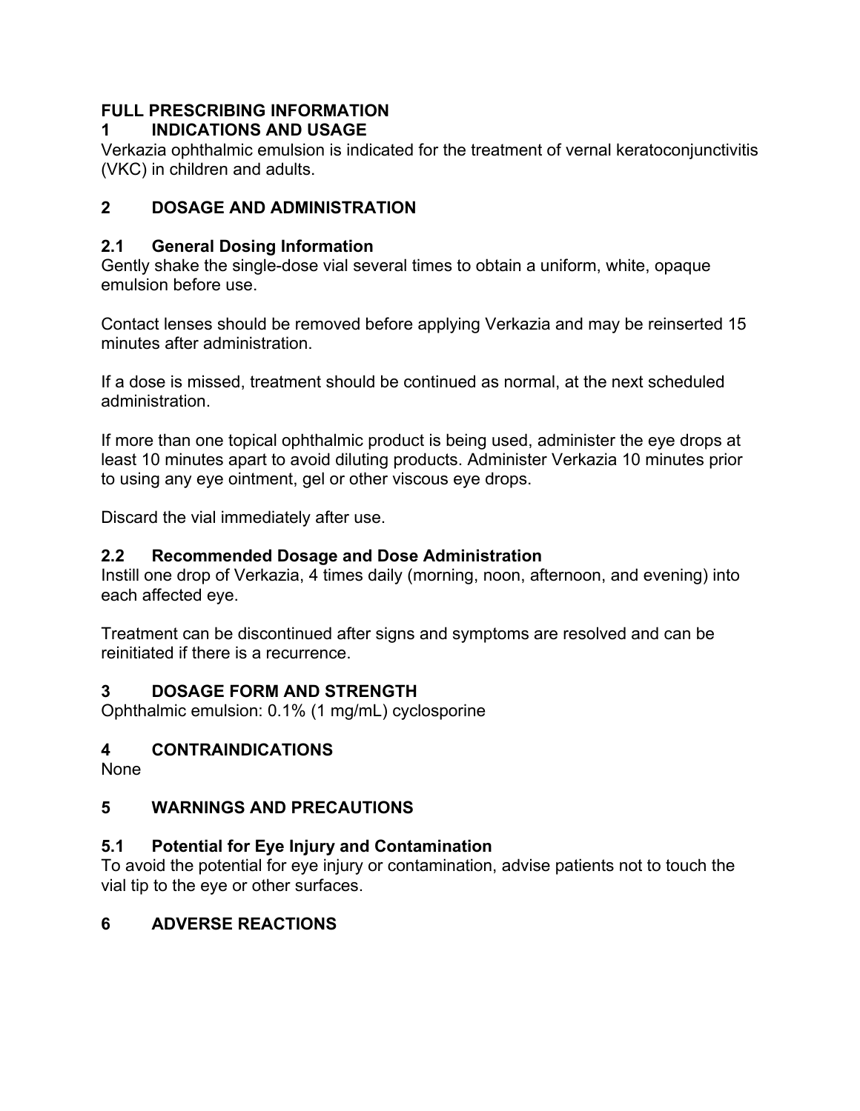# **FULL PRESCRIBING INFORMATION**

## <span id="page-1-0"></span>**1 INDICATIONS AND USAGE**

Verkazia ophthalmic emulsion is indicated for the treatment of vernal keratoconjunctivitis (VKC) in children and adults.

# <span id="page-1-1"></span>**2 DOSAGE AND ADMINISTRATION**

# **2.1 General Dosing Information**

Gently shake the single-dose vial several times to obtain a uniform, white, opaque emulsion before use.

Contact lenses should be removed before applying Verkazia and may be reinserted 15 minutes after administration.

If a dose is missed, treatment should be continued as normal, at the next scheduled administration.

If more than one topical ophthalmic product is being used, administer the eye drops at least 10 minutes apart to avoid diluting products. Administer Verkazia 10 minutes prior to using any eye ointment, gel or other viscous eye drops.

Discard the vial immediately after use.

## **2.2 Recommended Dosage and Dose Administration**

Instill one drop of Verkazia, 4 times daily (morning, noon, afternoon, and evening) into each affected eye.

<span id="page-1-2"></span>Treatment can be discontinued after signs and symptoms are resolved and can be reinitiated if there is a recurrence.

## **3 DOSAGE FORM AND STRENGTH**

Ophthalmic emulsion: 0.1% (1 mg/mL) cyclosporine

## <span id="page-1-3"></span>**4 CONTRAINDICATIONS**

None

# <span id="page-1-4"></span>**5 WARNINGS AND PRECAUTIONS**

## **5.1 Potential for Eye Injury and Contamination**

To avoid the potential for eye injury or contamination, advise patients not to touch the vial tip to the eye or other surfaces.

# <span id="page-1-5"></span>**6 ADVERSE REACTIONS**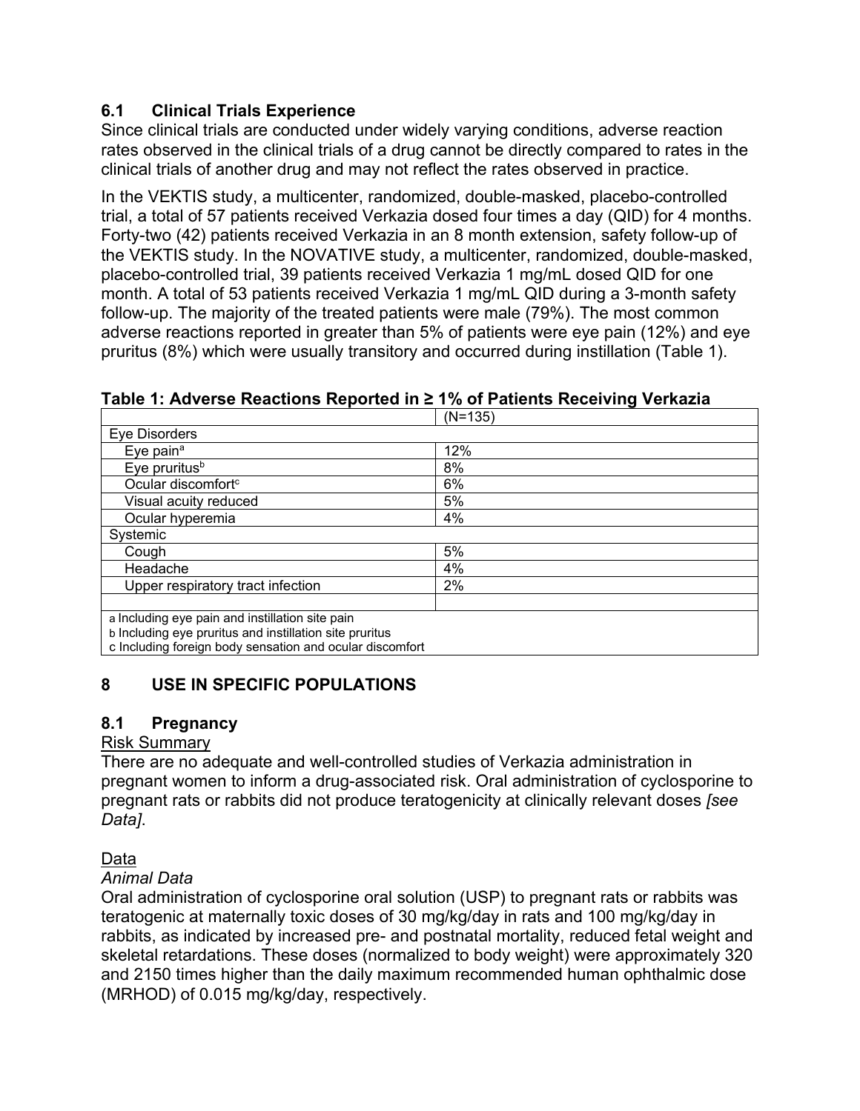### **6.1 Clinical Trials Experience**

Since clinical trials are conducted under widely varying conditions, adverse reaction rates observed in the clinical trials of a drug cannot be directly compared to rates in the clinical trials of another drug and may not reflect the rates observed in practice.

In the VEKTIS study, a multicenter, randomized, double-masked, placebo-controlled trial, a total of 57 patients received Verkazia dosed four times a day (QID) for 4 months. Forty-two (42) patients received Verkazia in an 8 month extension, safety follow-up of the VEKTIS study. In the NOVATIVE study, a multicenter, randomized, double-masked, placebo-controlled trial, 39 patients received Verkazia 1 mg/mL dosed QID for one month. A total of 53 patients received Verkazia 1 mg/mL QID during a 3-month safety follow-up. The majority of the treated patients were male (79%). The most common adverse reactions reported in greater than 5% of patients were eye pain (12%) and eye pruritus (8%) which were usually transitory and occurred during instillation (Table 1).

|                                                                                | $(N=135)$ |  |  |  |
|--------------------------------------------------------------------------------|-----------|--|--|--|
| Eye Disorders                                                                  |           |  |  |  |
| Eye pain <sup>a</sup>                                                          | 12%       |  |  |  |
| Eye pruritus <sup>b</sup>                                                      | 8%        |  |  |  |
| Ocular discomfort <sup>c</sup>                                                 | 6%        |  |  |  |
| Visual acuity reduced                                                          | 5%        |  |  |  |
| Ocular hyperemia                                                               | 4%        |  |  |  |
| Systemic                                                                       |           |  |  |  |
| Cough                                                                          | 5%        |  |  |  |
| Headache                                                                       | 4%        |  |  |  |
| Upper respiratory tract infection                                              | 2%        |  |  |  |
|                                                                                |           |  |  |  |
| a Including eye pain and instillation site pain                                |           |  |  |  |
| b Including eye pruritus and instillation site pruritus                        |           |  |  |  |
| السمكموم مجالس وماريمها امورما ويملئهم موجود بالممامل وستحومك ومرتاس بالمعزلية |           |  |  |  |

**Table 1: Adverse Reactions Reported in ≥ 1% of Patients Receiving Verkazia**

c Including foreign body sensation and ocular discomfort

## <span id="page-2-0"></span>**8 USE IN SPECIFIC POPULATIONS**

### **8.1 Pregnancy**

#### Risk Summary

There are no adequate and well-controlled studies of Verkazia administration in pregnant women to inform a drug-associated risk. Oral administration of cyclosporine to pregnant rats or rabbits did not produce teratogenicity at clinically relevant doses *[see Data]*.

Data

### *Animal Data*

Oral administration of cyclosporine oral solution (USP) to pregnant rats or rabbits was teratogenic at maternally toxic doses of 30 mg/kg/day in rats and 100 mg/kg/day in rabbits, as indicated by increased pre- and postnatal mortality, reduced fetal weight and skeletal retardations. These doses (normalized to body weight) were approximately 320 and 2150 times higher than the daily maximum recommended human ophthalmic dose (MRHOD) of 0.015 mg/kg/day, respectively.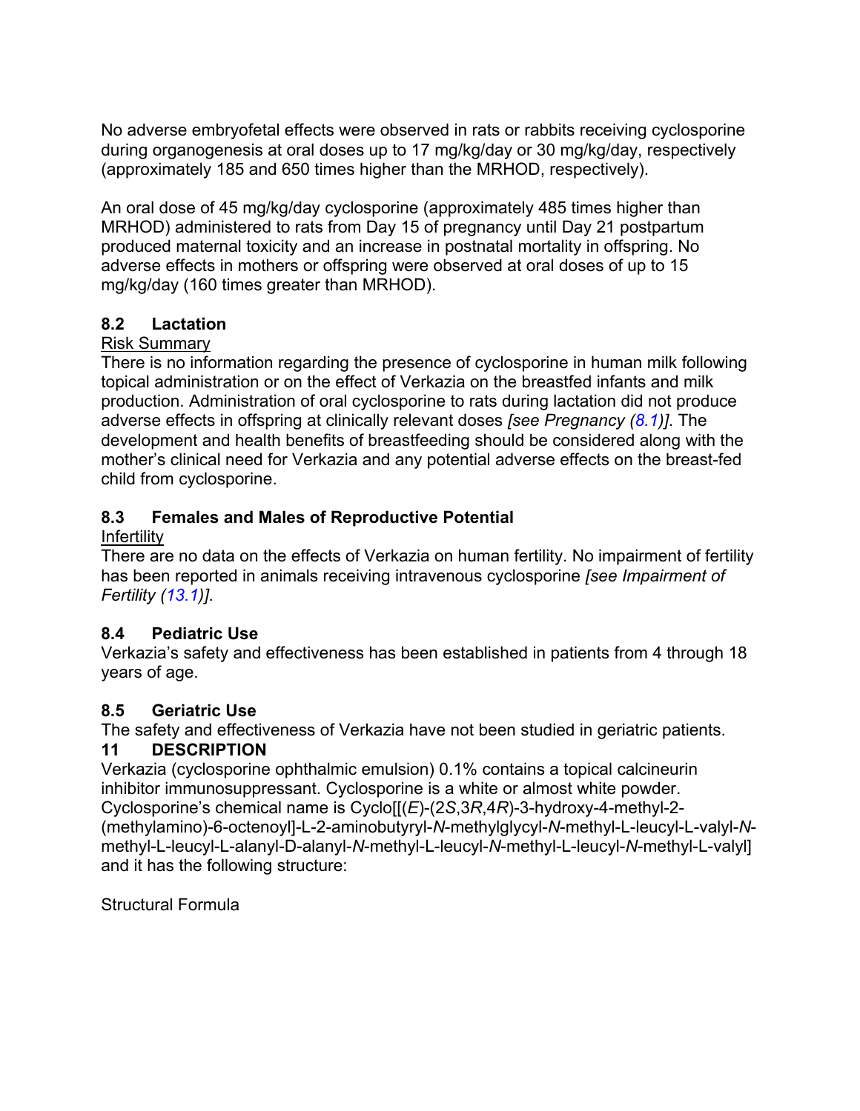No adverse embryofetal effects were observed in rats or rabbits receiving cyclosporine during organogenesis at oral doses up to 17 mg/kg/day or 30 mg/kg/day, respectively (approximately 185 and 650 times higher than the MRHOD, respectively).

An oral dose of 45 mg/kg/day cyclosporine (approximately 485 times higher than MRHOD) administered to rats from Day 15 of pregnancy until Day 21 postpartum produced maternal toxicity and an increase in postnatal mortality in offspring. No adverse effects in mothers or offspring were observed at oral doses of up to 15 mg/kg/day (160 times greater than MRHOD).

### **8.2 Lactation**

### Risk Summary

There is no information regarding the presence of cyclosporine in human milk following topical administration or on the effect of Verkazia on the breastfed infants and milk production. Administration of oral cyclosporine to rats during lactation did not produce adverse effects in offspring at clinically relevant doses *[see Pregnancy [\(8.](#page-2-0)1)]*. The development and health benefits of breastfeeding should be considered along with the mother's clinical need for Verkazia and any potential adverse effects on the breast-fed child from cyclosporine.

## **8.3 Females and Males of Reproductive Potential**

### **Infertility**

There are no data on the effects of Verkazia on human fertility. No impairment of fertility has been reported in animals receiving intravenous cyclosporine *[see Impairment of Fertility [\(13.](#page-4-0)1)]*.

## **8.4 Pediatric Use**

Verkazia's safety and effectiveness has been established in patients from 4 through 18 years of age.

## **8.5 Geriatric Use**

The safety and effectiveness of Verkazia have not been studied in geriatric patients.

## **11 DESCRIPTION**

Verkazia (cyclosporine ophthalmic emulsion) 0.1% contains a topical calcineurin inhibitor immunosuppressant. Cyclosporine is a white or almost white powder. Cyclosporine's chemical name is Cyclo[[(*E*)-(2*S*,3*R*,4*R*)-3-hydroxy-4-methyl-2- (methylamino)-6-octenoyl]-L-2-aminobutyryl-*N*-methylglycyl-*N*-methyl-L-leucyl-L-valyl-*N*methyl-L-leucyl-L-alanyl-D-alanyl-*N*-methyl-L-leucyl-*N*-methyl-L-leucyl-*N*-methyl-L-valyl] and it has the following structure:

Structural Formula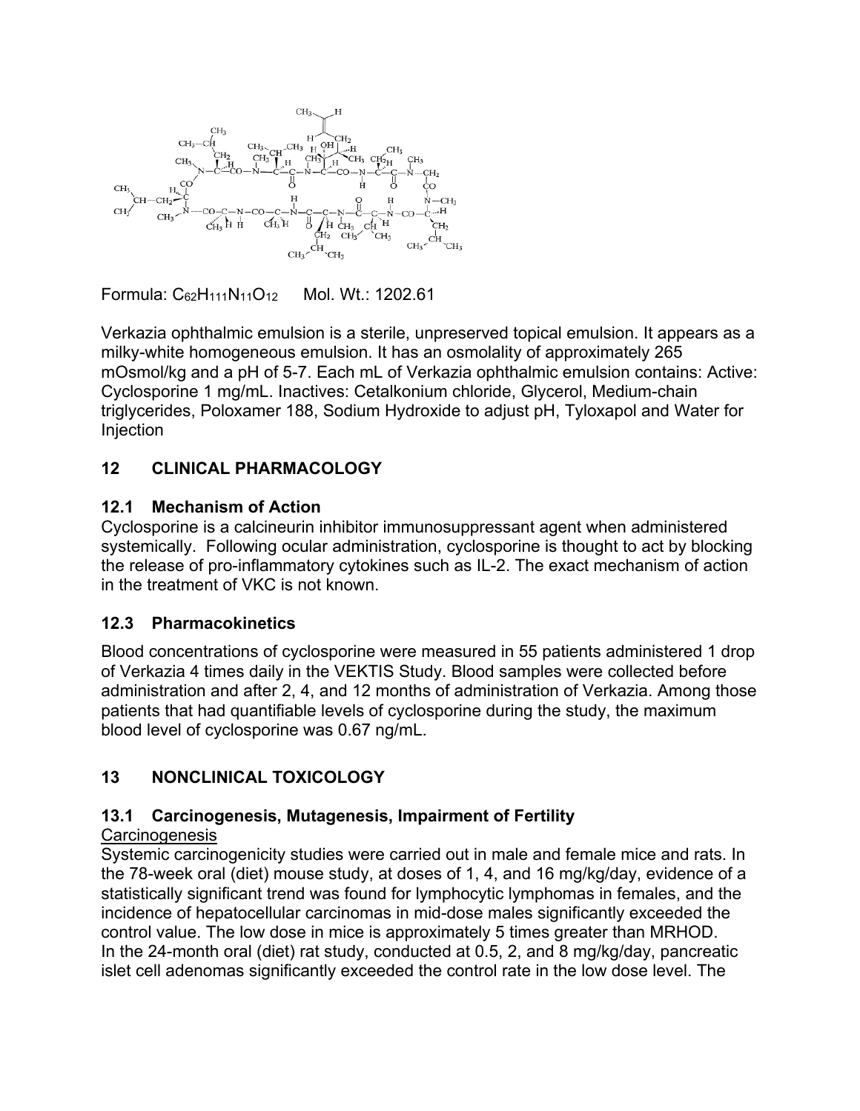

Formula: C62H111N11O12 Mol. Wt.: 1202.61

Verkazia ophthalmic emulsion is a sterile, unpreserved topical emulsion. It appears as a milky-white homogeneous emulsion. It has an osmolality of approximately 265 mOsmol/kg and a pH of 5-7. Each mL of Verkazia ophthalmic emulsion contains: Active: Cyclosporine 1 mg/mL. Inactives: Cetalkonium chloride, Glycerol, Medium-chain triglycerides, Poloxamer 188, Sodium Hydroxide to adjust pH, Tyloxapol and Water for Injection

## **12 CLINICAL PHARMACOLOGY**

### **12.1 Mechanism of Action**

Cyclosporine is a calcineurin inhibitor immunosuppressant agent when administered systemically. Following ocular administration, cyclosporine is thought to act by blocking the release of pro-inflammatory cytokines such as IL-2. The exact mechanism of action in the treatment of VKC is not known.

### **12.3 Pharmacokinetics**

Blood concentrations of cyclosporine were measured in 55 patients administered 1 drop of Verkazia 4 times daily in the VEKTIS Study. Blood samples were collected before administration and after 2, 4, and 12 months of administration of Verkazia. Among those patients that had quantifiable levels of cyclosporine during the study, the maximum blood level of cyclosporine was 0.67 ng/mL.

## <span id="page-4-0"></span>**13 NONCLINICAL TOXICOLOGY**

# **13.1 Carcinogenesis, Mutagenesis, Impairment of Fertility**

### **Carcinogenesis**

Systemic carcinogenicity studies were carried out in male and female mice and rats. In the 78-week oral (diet) mouse study, at doses of 1, 4, and 16 mg/kg/day, evidence of a statistically significant trend was found for lymphocytic lymphomas in females, and the incidence of hepatocellular carcinomas in mid-dose males significantly exceeded the control value. The low dose in mice is approximately 5 times greater than MRHOD. In the 24-month oral (diet) rat study, conducted at 0.5, 2, and 8 mg/kg/day, pancreatic islet cell adenomas significantly exceeded the control rate in the low dose level. The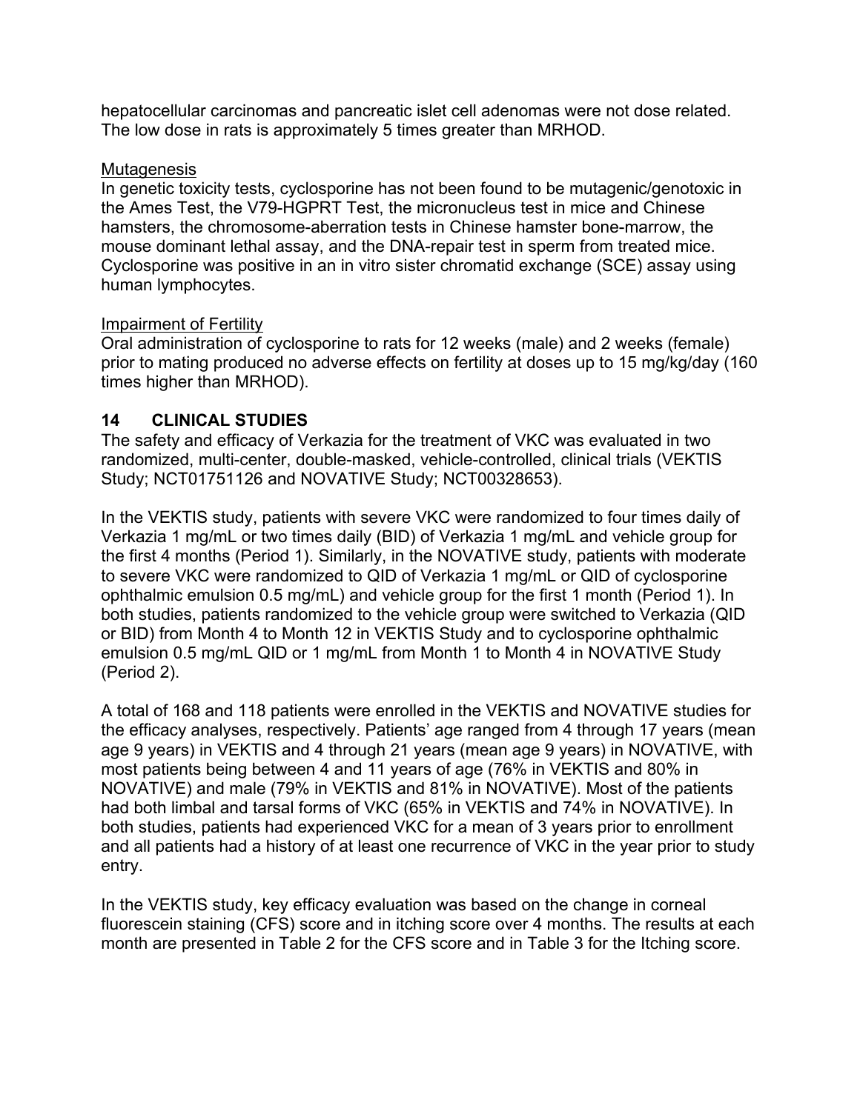hepatocellular carcinomas and pancreatic islet cell adenomas were not dose related. The low dose in rats is approximately 5 times greater than MRHOD.

#### **Mutagenesis**

In genetic toxicity tests, cyclosporine has not been found to be mutagenic/genotoxic in the Ames Test, the V79-HGPRT Test, the micronucleus test in mice and Chinese hamsters, the chromosome-aberration tests in Chinese hamster bone-marrow, the mouse dominant lethal assay, and the DNA-repair test in sperm from treated mice. Cyclosporine was positive in an in vitro sister chromatid exchange (SCE) assay using human lymphocytes.

#### Impairment of Fertility

Oral administration of cyclosporine to rats for 12 weeks (male) and 2 weeks (female) prior to mating produced no adverse effects on fertility at doses up to 15 mg/kg/day (160 times higher than MRHOD).

#### **14 CLINICAL STUDIES**

The safety and efficacy of Verkazia for the treatment of VKC was evaluated in two randomized, multi-center, double-masked, vehicle-controlled, clinical trials (VEKTIS Study; NCT01751126 and NOVATIVE Study; NCT00328653).

In the VEKTIS study, patients with severe VKC were randomized to four times daily of Verkazia 1 mg/mL or two times daily (BID) of Verkazia 1 mg/mL and vehicle group for the first 4 months (Period 1). Similarly, in the NOVATIVE study, patients with moderate to severe VKC were randomized to QID of Verkazia 1 mg/mL or QID of cyclosporine ophthalmic emulsion 0.5 mg/mL) and vehicle group for the first 1 month (Period 1). In both studies, patients randomized to the vehicle group were switched to Verkazia (QID or BID) from Month 4 to Month 12 in VEKTIS Study and to cyclosporine ophthalmic emulsion 0.5 mg/mL QID or 1 mg/mL from Month 1 to Month 4 in NOVATIVE Study (Period 2).

A total of 168 and 118 patients were enrolled in the VEKTIS and NOVATIVE studies for the efficacy analyses, respectively. Patients' age ranged from 4 through 17 years (mean age 9 years) in VEKTIS and 4 through 21 years (mean age 9 years) in NOVATIVE, with most patients being between 4 and 11 years of age (76% in VEKTIS and 80% in NOVATIVE) and male (79% in VEKTIS and 81% in NOVATIVE). Most of the patients had both limbal and tarsal forms of VKC (65% in VEKTIS and 74% in NOVATIVE). In both studies, patients had experienced VKC for a mean of 3 years prior to enrollment and all patients had a history of at least one recurrence of VKC in the year prior to study entry.

In the VEKTIS study, key efficacy evaluation was based on the change in corneal fluorescein staining (CFS) score and in itching score over 4 months. The results at each month are presented in Table 2 for the CFS score and in Table 3 for the Itching score.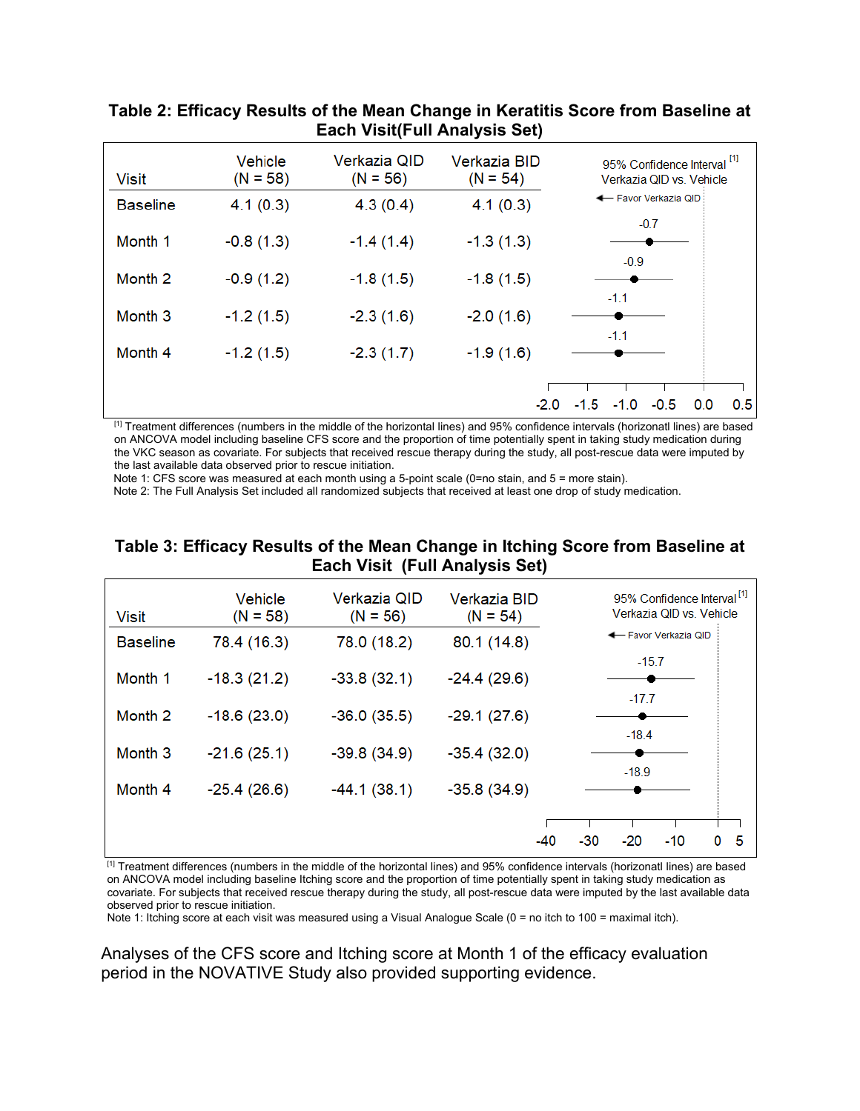| <b>Visit</b>       | Vehicle<br>$(N = 58)$ | Verkazia QID<br>$(N = 56)$ | <b>Verkazia BID</b><br>$(N = 54)$ | 95% Confidence Interval <sup>[1]</sup><br>Verkazia QID vs. Vehicle |
|--------------------|-----------------------|----------------------------|-----------------------------------|--------------------------------------------------------------------|
| <b>Baseline</b>    | 4.1(0.3)              | 4.3(0.4)                   | 4.1(0.3)                          | ← Favor Verkazia QID                                               |
| Month 1            | $-0.8(1.3)$           | $-1.4(1.4)$                | $-1.3(1.3)$                       | $-0.7$<br>$-0.9$                                                   |
| Month <sub>2</sub> | $-0.9(1.2)$           | $-1.8(1.5)$                | $-1.8(1.5)$                       |                                                                    |
| Month <sub>3</sub> | $-1.2(1.5)$           | $-2.3(1.6)$                | $-2.0(1.6)$                       | $-1.1$<br>$-1.1$                                                   |
| Month 4            | $-1.2(1.5)$           | $-2.3(1.7)$                | $-1.9(1.6)$                       |                                                                    |
|                    |                       |                            | $-2.0$                            | 0.5<br>$-0.5$<br>$-1.5 - 1.0$<br>0.0                               |

#### **Table 2: Efficacy Results of the Mean Change in Keratitis Score from Baseline at Each Visit(Full Analysis Set)**

[1] Treatment differences (numbers in the middle of the horizontal lines) and 95% confidence intervals (horizonatl lines) are based on ANCOVA model including baseline CFS score and the proportion of time potentially spent in taking study medication during the VKC season as covariate. For subjects that received rescue therapy during the study, all post-rescue data were imputed by the last available data observed prior to rescue initiation.

Note 1: CFS score was measured at each month using a 5-point scale (0=no stain, and 5 = more stain).

Note 2: The Full Analysis Set included all randomized subjects that received at least one drop of study medication.

#### **Table 3: Efficacy Results of the Mean Change in Itching Score from Baseline at Each Visit (Full Analysis Set)**

| <b>Visit</b>       | Vehicle<br>$(N = 58)$ | Verkazia QID<br>$(N = 56)$ | Verkazia BID<br>$(N = 54)$ | 95% Confidence Interval <sup>[1]</sup><br>Verkazia QID vs. Vehicle |
|--------------------|-----------------------|----------------------------|----------------------------|--------------------------------------------------------------------|
| <b>Baseline</b>    | 78.4 (16.3)           | 78.0 (18.2)                | 80.1 (14.8)                | ← Favor Verkazia QID                                               |
| Month 1            | $-18.3(21.2)$         | $-33.8(32.1)$              | $-24.4(29.6)$              | $-15.7$                                                            |
| Month <sub>2</sub> | $-18.6(23.0)$         | $-36.0(35.5)$              | $-29.1(27.6)$              | $-17.7$                                                            |
| Month <sub>3</sub> | $-21.6(25.1)$         | $-39.8(34.9)$              | $-35.4(32.0)$              | $-18.4$                                                            |
| Month 4            | $-25.4(26.6)$         | $-44.1(38.1)$              | $-35.8(34.9)$              | $-18.9$                                                            |
|                    |                       |                            | $-40$                      | 5<br>$-20$<br>$-10$<br>$-30$<br>0                                  |
|                    |                       |                            |                            |                                                                    |

[1] Treatment differences (numbers in the middle of the horizontal lines) and 95% confidence intervals (horizonatl lines) are based on ANCOVA model including baseline Itching score and the proportion of time potentially spent in taking study medication as covariate. For subjects that received rescue therapy during the study, all post-rescue data were imputed by the last available data observed prior to rescue initiation.

Note 1: Itching score at each visit was measured using a Visual Analogue Scale (0 = no itch to 100 = maximal itch).

Analyses of the CFS score and Itching score at Month 1 of the efficacy evaluation period in the NOVATIVE Study also provided supporting evidence.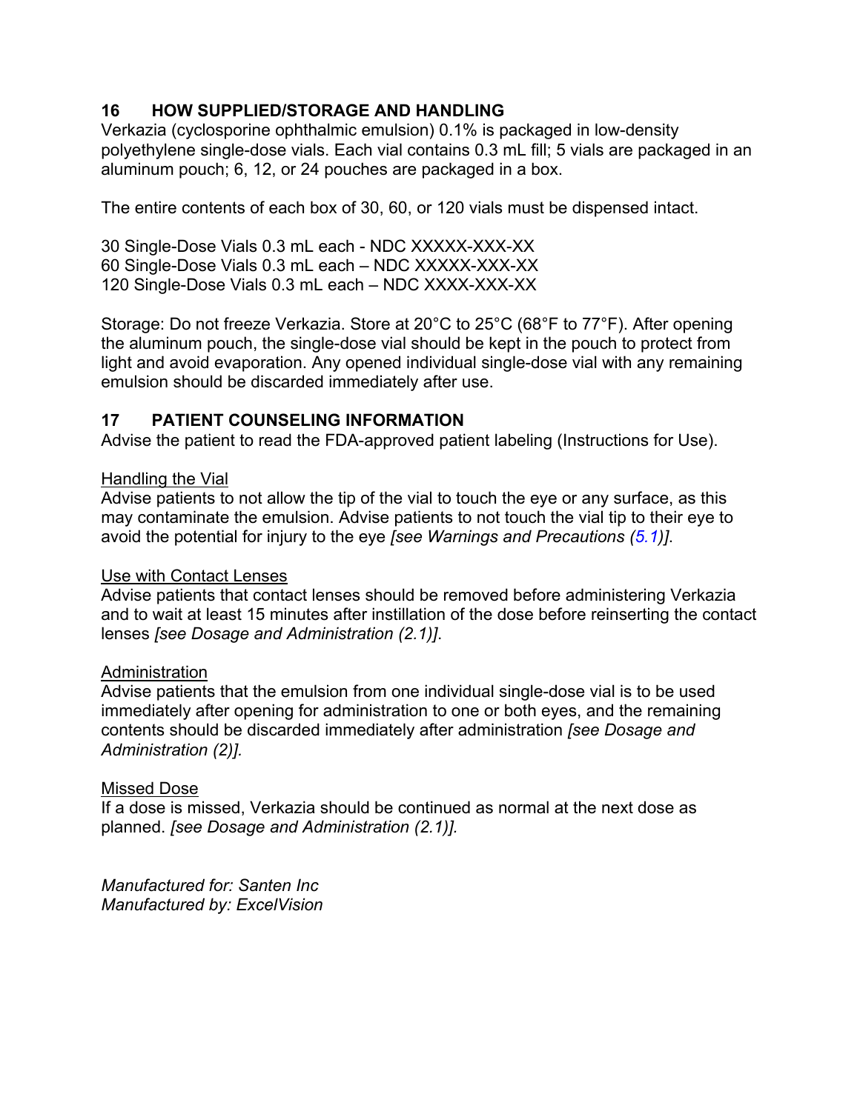### **16 HOW SUPPLIED/STORAGE AND HANDLING**

Verkazia (cyclosporine ophthalmic emulsion) 0.1% is packaged in low-density polyethylene single-dose vials. Each vial contains 0.3 mL fill; 5 vials are packaged in an aluminum pouch; 6, 12, or 24 pouches are packaged in a box.

The entire contents of each box of 30, 60, or 120 vials must be dispensed intact.

30 Single-Dose Vials 0.3 mL each - NDC XXXXX-XXX-XX 60 Single-Dose Vials 0.3 mL each – NDC XXXXX-XXX-XX 120 Single-Dose Vials 0.3 mL each – NDC XXXX-XXX-XX

Storage: Do not freeze Verkazia. Store at 20°C to 25°C (68°F to 77°F). After opening the aluminum pouch, the single-dose vial should be kept in the pouch to protect from light and avoid evaporation. Any opened individual single-dose vial with any remaining emulsion should be discarded immediately after use.

#### **17 PATIENT COUNSELING INFORMATION**

Advise the patient to read the FDA-approved patient labeling (Instructions for Use).

#### Handling the Vial

Advise patients to not allow the tip of the vial to touch the eye or any surface, as this may contaminate the emulsion. Advise patients to not touch the vial tip to their eye to avoid the potential for injury to the eye *[see Warnings and Precautions [\(5.](#page-1-4)1)]*.

#### Use with Contact Lenses

Advise patients that contact lenses should be removed before administering Verkazia and to wait at least 15 minutes after instillation of the dose before reinserting the contact lenses *[see Dosage and Administration (2.1)]*.

#### **Administration**

Advise patients that the emulsion from one individual single-dose vial is to be used immediately after opening for administration to one or both eyes, and the remaining contents should be discarded immediately after administration *[see Dosage and Administration (2)].*

#### Missed Dose

If a dose is missed, Verkazia should be continued as normal at the next dose as planned. *[see Dosage and Administration (2.1)].*

*Manufactured for: Santen Inc Manufactured by: ExcelVision*